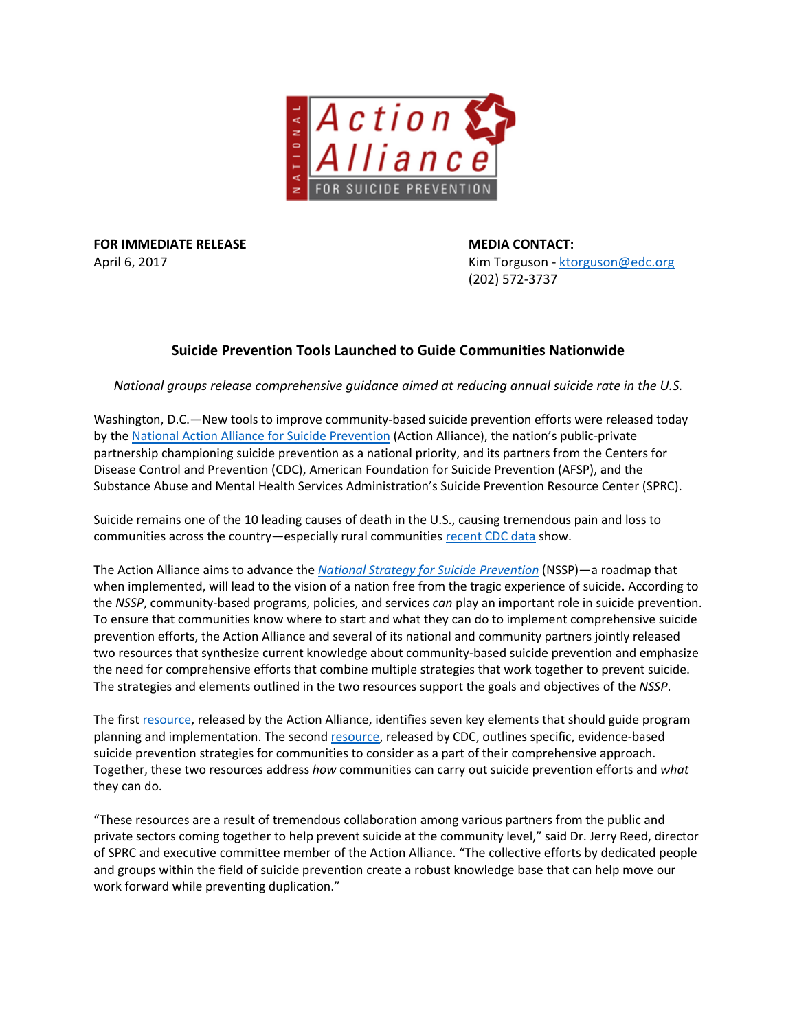

**FOR IMMEDIATE RELEASE <b>MEDIA CONTACT:** 

April 6, 2017 **April 6, 2017 Kim Torguson - [ktorguson@edc.org](mailto:ktorguson@edc.org) Kim Torguson** - ktorguson@edc.org (202) 572-3737

# **Suicide Prevention Tools Launched to Guide Communities Nationwide**

*National groups release comprehensive guidance aimed at reducing annual suicide rate in the U.S.*

Washington, D.C.—New tools to improve community-based suicide prevention efforts were released today by th[e National Action Alliance for Suicide Prevention](http://actionallianceforsuicideprevention.org/) (Action Alliance), the nation's public-private partnership championing suicide prevention as a national priority, and its partners from the Centers for Disease Control and Prevention (CDC), American Foundation for Suicide Prevention (AFSP), and the Substance Abuse and Mental Health Services Administration's Suicide Prevention Resource Center (SPRC).

Suicide remains one of the 10 leading causes of death in the U.S., causing tremendous pain and loss to communities across the country—especially rural communities [recent CDC data](http://actionallianceforsuicideprevention.org/sites/actionallianceforsuicideprevention.org/files/Action%20Alliance%20Statement_CDC%20MMWR%20Data_March%2016%202017.pdf) show.

The Action Alliance aims to advance the *[National Strategy for Suicide Prevention](http://actionallianceforsuicideprevention.org/national-strategy-suicide-prevention-0)* (NSSP)—a roadmap that when implemented, will lead to the vision of a nation free from the tragic experience of suicide. According to the *NSSP*, community-based programs, policies, and services *can* play an important role in suicide prevention. To ensure that communities know where to start and what they can do to implement comprehensive suicide prevention efforts, the Action Alliance and several of its national and community partners jointly released two resources that synthesize current knowledge about community-based suicide prevention and emphasize the need for comprehensive efforts that combine multiple strategies that work together to prevent suicide. The strategies and elements outlined in the two resources support the goals and objectives of the *NSSP*.

The first [resource,](http://actionallianceforsuicideprevention.org/sites/actionallianceforsuicideprevention.org/files/TransformingCommunitiesPaper.pdf) released by the Action Alliance, identifies seven key elements that should guide program planning and implementation. The second [resource,](https://www.cdc.gov/violenceprevention/pdf/suicide-technicalpackage.pdf) released by CDC, outlines specific, evidence-based suicide prevention strategies for communities to consider as a part of their comprehensive approach. Together, these two resources address *how* communities can carry out suicide prevention efforts and *what* they can do.

"These resources are a result of tremendous collaboration among various partners from the public and private sectors coming together to help prevent suicide at the community level," said Dr. Jerry Reed, director of SPRC and executive committee member of the Action Alliance. "The collective efforts by dedicated people and groups within the field of suicide prevention create a robust knowledge base that can help move our work forward while preventing duplication."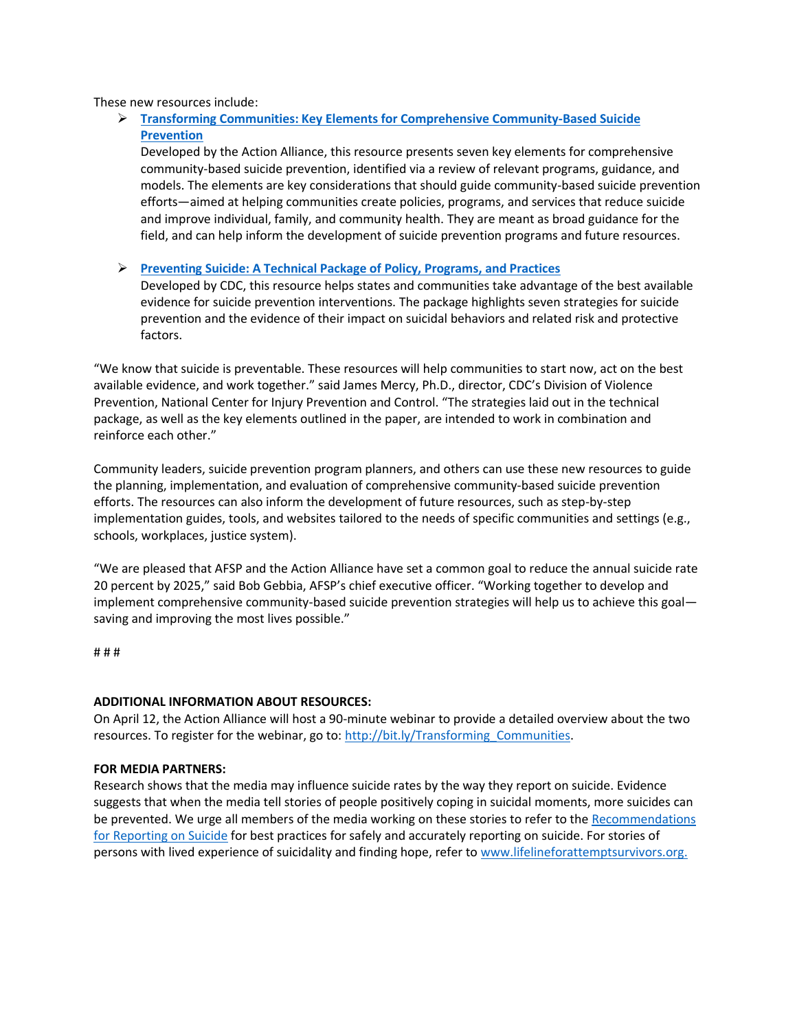These new resources include:

# **[Transforming Communities: Key Elements for Comprehensive Community-Based Suicide](http://actionallianceforsuicideprevention.org/sites/actionallianceforsuicideprevention.org/files/TransformingCommunitiesPaper.pdf)  [Prevention](http://actionallianceforsuicideprevention.org/sites/actionallianceforsuicideprevention.org/files/TransformingCommunitiesPaper.pdf)**

Developed by the Action Alliance, this resource presents seven key elements for comprehensive community-based suicide prevention, identified via a review of relevant programs, guidance, and models. The elements are key considerations that should guide community-based suicide prevention efforts—aimed at helping communities create policies, programs, and services that reduce suicide and improve individual, family, and community health. They are meant as broad guidance for the field, and can help inform the development of suicide prevention programs and future resources.

## **[Preventing Suicide: A Technical Package of Policy, Programs, and Practices](https://www.cdc.gov/violenceprevention/pdf/suicide-technicalpackage.pdf)**

Developed by CDC, this resource helps states and communities take advantage of the best available evidence for suicide prevention interventions. The package highlights seven strategies for suicide prevention and the evidence of their impact on suicidal behaviors and related risk and protective factors.

"We know that suicide is preventable. These resources will help communities to start now, act on the best available evidence, and work together." said James Mercy, Ph.D., director, CDC's Division of Violence Prevention, National Center for Injury Prevention and Control. "The strategies laid out in the technical package, as well as the key elements outlined in the paper, are intended to work in combination and reinforce each other."

Community leaders, suicide prevention program planners, and others can use these new resources to guide the planning, implementation, and evaluation of comprehensive community-based suicide prevention efforts. The resources can also inform the development of future resources, such as step-by-step implementation guides, tools, and websites tailored to the needs of specific communities and settings (e.g., schools, workplaces, justice system).

"We are pleased that AFSP and the Action Alliance have set a common goal to reduce the annual suicide rate 20 percent by 2025," said Bob Gebbia, AFSP's chief executive officer. "Working together to develop and implement comprehensive community-based suicide prevention strategies will help us to achieve this goal saving and improving the most lives possible."

# # #

#### **ADDITIONAL INFORMATION ABOUT RESOURCES:**

On April 12, the Action Alliance will host a 90-minute webinar to provide a detailed overview about the two resources. To register for the webinar, go to: [http://bit.ly/Transforming\\_Communities.](http://bit.ly/Transforming_Communities)

#### **FOR MEDIA PARTNERS:**

Research shows that the media may influence suicide rates by the way they report on suicide. Evidence suggests that when the media tell stories of people positively coping in suicidal moments, more suicides can be prevented. We urge all members of the media working on these stories to refer to th[e Recommendations](http://www.reportingonsuicide.org/)  [for Reporting on Suicide](http://www.reportingonsuicide.org/) for best practices for safely and accurately reporting on suicide. For stories of persons with lived experience of suicidality and finding hope, refer to [www.lifelineforattemptsurvivors.org.](http://www.lifelineforattemptsurvivors.org/)